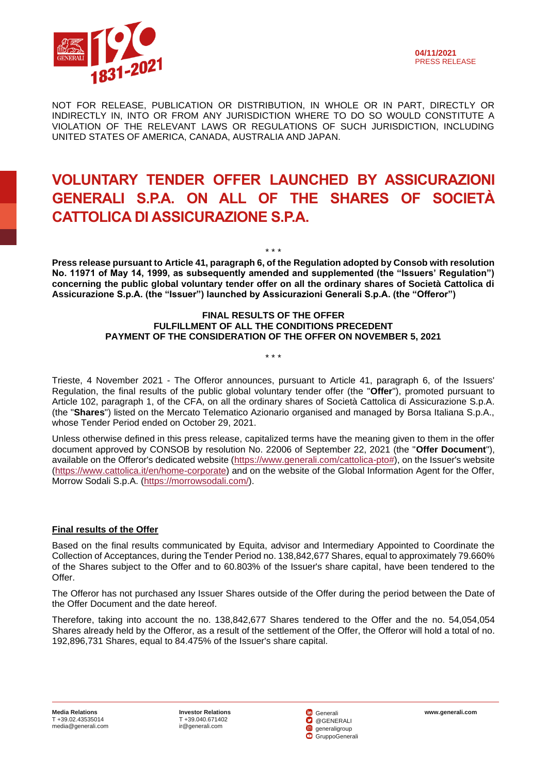

NOT FOR RELEASE, PUBLICATION OR DISTRIBUTION, IN WHOLE OR IN PART, DIRECTLY OR INDIRECTLY IN, INTO OR FROM ANY JURISDICTION WHERE TO DO SO WOULD CONSTITUTE A VIOLATION OF THE RELEVANT LAWS OR REGULATIONS OF SUCH JURISDICTION, INCLUDING UNITED STATES OF AMERICA, CANADA, AUSTRALIA AND JAPAN.

# **VOLUNTARY TENDER OFFER LAUNCHED BY ASSICURAZIONI GENERALI S.P.A. ON ALL OF THE SHARES OF SOCIETÀ CATTOLICA DI ASSICURAZIONE S.P.A.**

\* \* \* **Press release pursuant to Article 41, paragraph 6, of the Regulation adopted by Consob with resolution No. 11971 of May 14, 1999, as subsequently amended and supplemented (the "Issuers' Regulation") concerning the public global voluntary tender offer on all the ordinary shares of Società Cattolica di Assicurazione S.p.A. (the "Issuer") launched by Assicurazioni Generali S.p.A. (the "Offeror")**

### **FINAL RESULTS OF THE OFFER FULFILLMENT OF ALL THE CONDITIONS PRECEDENT PAYMENT OF THE CONSIDERATION OF THE OFFER ON NOVEMBER 5, 2021**

\* \* \*

Trieste, 4 November 2021 - The Offeror announces, pursuant to Article 41, paragraph 6, of the Issuers' Regulation, the final results of the public global voluntary tender offer (the "**Offer**"), promoted pursuant to Article 102, paragraph 1, of the CFA, on all the ordinary shares of Società Cattolica di Assicurazione S.p.A. (the "**Shares**") listed on the Mercato Telematico Azionario organised and managed by Borsa Italiana S.p.A., whose Tender Period ended on October 29, 2021.

Unless otherwise defined in this press release, capitalized terms have the meaning given to them in the offer document approved by CONSOB by resolution No. 22006 of September 22, 2021 (the "**Offer Document**"), available on the Offeror's dedicated website [\(https://www.generali.com/cattolica-pto#\)](https://www.generali.com/cattolica-pto), on the Issuer's website [\(https://www.cattolica.it/en/home-corporate\)](https://www.cattolica.it/en/home-corporate) and on the website of the Global Information Agent for the Offer, Morrow Sodali S.p.A. [\(https://morrowsodali.com/\)](https://morrowsodali.com/).

# **Final results of the Offer**

Based on the final results communicated by Equita, advisor and Intermediary Appointed to Coordinate the Collection of Acceptances, during the Tender Period no. 138,842,677 Shares, equal to approximately 79.660% of the Shares subject to the Offer and to 60.803% of the Issuer's share capital, have been tendered to the Offer.

The Offeror has not purchased any Issuer Shares outside of the Offer during the period between the Date of the Offer Document and the date hereof.

Therefore, taking into account the no. 138,842,677 Shares tendered to the Offer and the no. 54,054,054 Shares already held by the Offeror, as a result of the settlement of the Offer, the Offeror will hold a total of no. 192,896,731 Shares, equal to 84.475% of the Issuer's share capital.

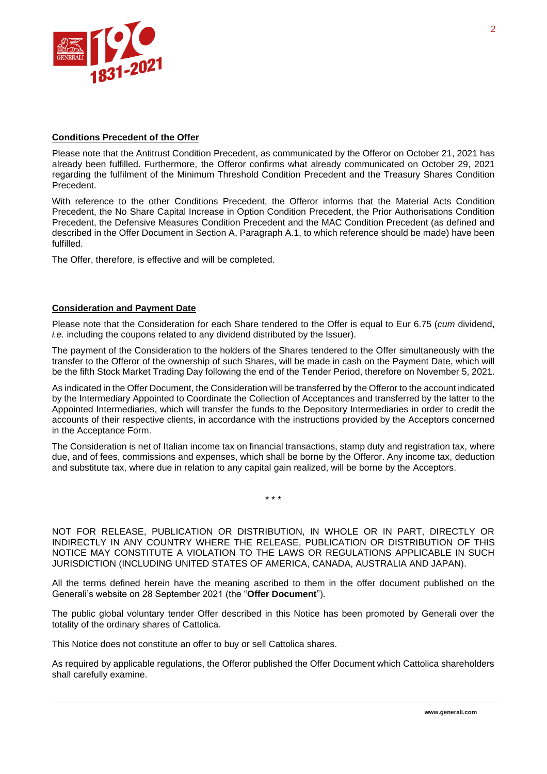

# **Conditions Precedent of the Offer**

Please note that the Antitrust Condition Precedent, as communicated by the Offeror on October 21, 2021 has already been fulfilled. Furthermore, the Offeror confirms what already communicated on October 29, 2021 regarding the fulfilment of the Minimum Threshold Condition Precedent and the Treasury Shares Condition Precedent.

With reference to the other Conditions Precedent, the Offeror informs that the Material Acts Condition Precedent, the No Share Capital Increase in Option Condition Precedent, the Prior Authorisations Condition Precedent, the Defensive Measures Condition Precedent and the MAC Condition Precedent (as defined and described in the Offer Document in Section A, Paragraph A.1, to which reference should be made) have been fulfilled.

The Offer, therefore, is effective and will be completed.

#### **Consideration and Payment Date**

Please note that the Consideration for each Share tendered to the Offer is equal to Eur 6.75 (*cum* dividend, *i.e.* including the coupons related to any dividend distributed by the Issuer).

The payment of the Consideration to the holders of the Shares tendered to the Offer simultaneously with the transfer to the Offeror of the ownership of such Shares, will be made in cash on the Payment Date, which will be the fifth Stock Market Trading Day following the end of the Tender Period, therefore on November 5, 2021.

As indicated in the Offer Document, the Consideration will be transferred by the Offeror to the account indicated by the Intermediary Appointed to Coordinate the Collection of Acceptances and transferred by the latter to the Appointed Intermediaries, which will transfer the funds to the Depository Intermediaries in order to credit the accounts of their respective clients, in accordance with the instructions provided by the Acceptors concerned in the Acceptance Form.

The Consideration is net of Italian income tax on financial transactions, stamp duty and registration tax, where due, and of fees, commissions and expenses, which shall be borne by the Offeror. Any income tax, deduction and substitute tax, where due in relation to any capital gain realized, will be borne by the Acceptors.

\* \* \*

NOT FOR RELEASE, PUBLICATION OR DISTRIBUTION, IN WHOLE OR IN PART, DIRECTLY OR INDIRECTLY IN ANY COUNTRY WHERE THE RELEASE, PUBLICATION OR DISTRIBUTION OF THIS NOTICE MAY CONSTITUTE A VIOLATION TO THE LAWS OR REGULATIONS APPLICABLE IN SUCH JURISDICTION (INCLUDING UNITED STATES OF AMERICA, CANADA, AUSTRALIA AND JAPAN).

All the terms defined herein have the meaning ascribed to them in the offer document published on the Generali's website on 28 September 2021 (the "**Offer Document**").

The public global voluntary tender Offer described in this Notice has been promoted by Generali over the totality of the ordinary shares of Cattolica.

This Notice does not constitute an offer to buy or sell Cattolica shares.

As required by applicable regulations, the Offeror published the Offer Document which Cattolica shareholders shall carefully examine.